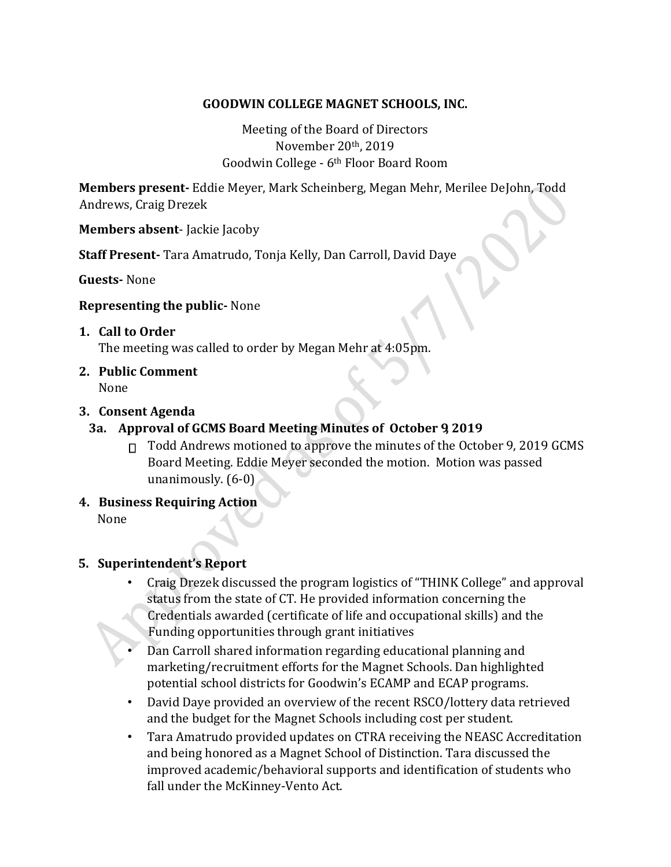## **GOODWIN COLLEGE MAGNET SCHOOLS, INC.**

Meeting of the Board of Directors November 20th, 2019 Goodwin College - 6th Floor Board Room

**Members present-** Eddie Meyer, Mark Scheinberg, Megan Mehr, Merilee DeJohn, Todd Andrews, Craig Drezek

**Members absent**- Jackie Jacoby

**Staff Present-** Tara Amatrudo, Tonja Kelly, Dan Carroll, David Daye

**Guests-** None

#### **Representing the public-** None

#### **1. Call to Order**

The meeting was called to order by Megan Mehr at 4:05pm.

**2. Public Comment**

None

## **3. Consent Agenda**

# **3a. Approval of GCMS Board Meeting Minutes of October 9, 2019**

- $\Box$  Todd Andrews motioned to approve the minutes of the October 9, 2019 GCMS Board Meeting. Eddie Meyer seconded the motion. Motion was passed unanimously. (6-0)
- **4. Business Requiring Action**

None

## **5. Superintendent's Report**

- Craig Drezek discussed the program logistics of "THINK College" and approval status from the state of CT. He provided information concerning the Credentials awarded (certificate of life and occupational skills) and the Funding opportunities through grant initiatives
- Dan Carroll shared information regarding educational planning and marketing/recruitment efforts for the Magnet Schools. Dan highlighted potential school districts for Goodwin's ECAMP and ECAP programs.
- David Daye provided an overview of the recent RSCO/lottery data retrieved and the budget for the Magnet Schools including cost per student.
- Tara Amatrudo provided updates on CTRA receiving the NEASC Accreditation and being honored as a Magnet School of Distinction. Tara discussed the improved academic/behavioral supports and identification of students who fall under the McKinney-Vento Act.